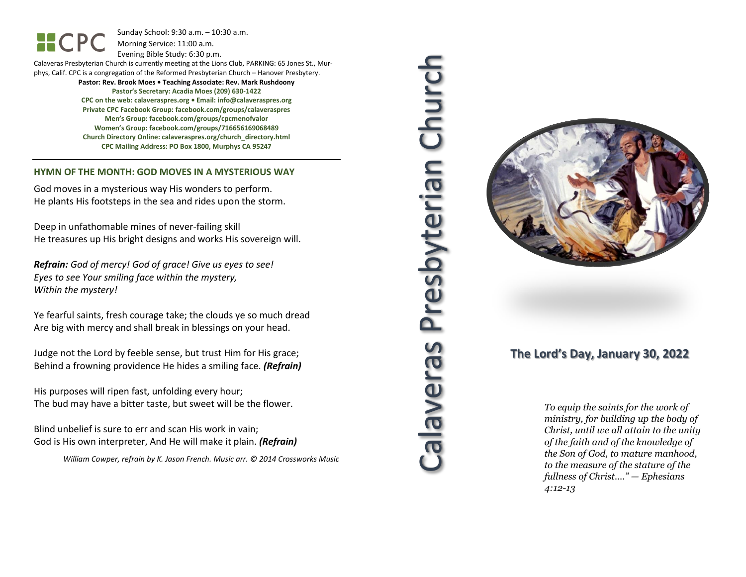Sunday School: 9: 3 0 a.m. – 10:30 a.m. Morning Service: 1 1 :00 a.m.

Evening Bible Study: 6: 30 p.m.

Calaveras Presbyterian Church is currently meeting at the Lions Club, PARKING: 65 Jones St., Murphys, Calif. CPC is a congregation of the Reformed Presbyterian Church – Hanover Presbytery.

> **Pastor: Rev. Brook Moes • Teaching Associate: Rev. Mark Rushdoony Pastor's Secretary: Acadia Moes (209) 630 -1422 CPC on the web: calaveraspres.org • Email: [info@calaveraspres.org](mailto:info@calaveraspres.org) Private CPC Facebook Group: facebook.com/groups/calaveraspres Men's Group: facebook.com/groups/cpcmenofvalor Women's Group: facebook.com/groups/716656169068489 Church Directory Online: calaveraspres.org/church \_directory.html CPC Mailing Address: PO Box 1800, Murphys CA 95247**

### **HYMN OF THE MONTH: GOD MOVES IN A MYSTERIOUS WAY**

God moves in a mysterious way His wonders to perform. He plants His footsteps in the sea and rides upon the storm.

Deep in unfathomable mines of never -failing skill He treasures up His bright designs and works His sovereign will.

*Refrain: God of mercy! God of grace! Give us eyes to see! Eyes to see Your smiling face within the mystery, Within the mystery!*

Ye fearful saints, fresh courage take; the clouds ye so much dread Are big with mercy and shall break in blessings on your head .

Judge not the Lord by feeble sense, but trust Him for His grace; Behind a frowning providence He hides a smiling face. *(Refrain)*

His purposes will ripen fast, unfolding every hour; The bud may have a bitter taste, but sweet will be the flower.

Blind unbelief is sure to err and scan His work in vain; God is His own interpreter, And He will make it plain. *(Refrain)*

*William Cowper, refrain by K. Jason French . Music arr. © 2014 Crossworks Music* 

# Calaveras Presbyterian Church Presbyterian Churc seuanere



# **The Lord's Day, January 3 0, 202 2**

*To equip the saints for the work of ministry, for building up the body of Christ, until we all attain to the unity of the faith and of the knowledge of the Son of God, to mature manhood, to the measure of the stature of the fullness of Christ…." — Ephesians 4:12 -13*